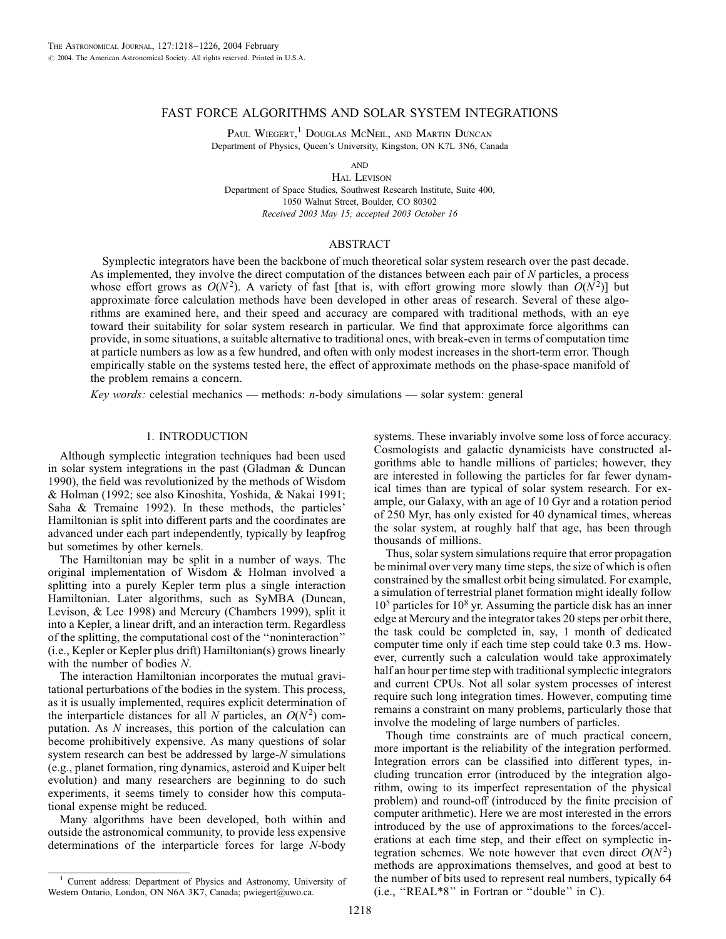# FAST FORCE ALGORITHMS AND SOLAR SYSTEM INTEGRATIONS

PAUL WIEGERT,<sup>1</sup> DOUGLAS MCNEIL, AND MARTIN DUNCAN Department of Physics, Queen's University, Kingston, ON K7L 3N6, Canada

**AND** 

HAL LEVISON Department of Space Studies, Southwest Research Institute, Suite 400, 1050 Walnut Street, Boulder, CO 80302 Received 2003 May 15; accepted 2003 October 16

# ABSTRACT

Symplectic integrators have been the backbone of much theoretical solar system research over the past decade. As implemented, they involve the direct computation of the distances between each pair of  $N$  particles, a process whose effort grows as  $O(N^2)$ . A variety of fast [that is, with effort growing more slowly than  $O(N^2)$ ] but approximate force calculation methods have been developed in other areas of research. Several of these algorithms are examined here, and their speed and accuracy are compared with traditional methods, with an eye toward their suitability for solar system research in particular. We find that approximate force algorithms can provide, in some situations, a suitable alternative to traditional ones, with break-even in terms of computation time at particle numbers as low as a few hundred, and often with only modest increases in the short-term error. Though empirically stable on the systems tested here, the effect of approximate methods on the phase-space manifold of the problem remains a concern.

Key words: celestial mechanics — methods: n-body simulations — solar system: general

# 1. INTRODUCTION

Although symplectic integration techniques had been used in solar system integrations in the past (Gladman & Duncan 1990), the field was revolutionized by the methods of Wisdom & Holman (1992; see also Kinoshita, Yoshida, & Nakai 1991; Saha & Tremaine 1992). In these methods, the particles' Hamiltonian is split into different parts and the coordinates are advanced under each part independently, typically by leapfrog but sometimes by other kernels.

The Hamiltonian may be split in a number of ways. The original implementation of Wisdom & Holman involved a splitting into a purely Kepler term plus a single interaction Hamiltonian. Later algorithms, such as SyMBA (Duncan, Levison, & Lee 1998) and Mercury (Chambers 1999), split it into a Kepler, a linear drift, and an interaction term. Regardless of the splitting, the computational cost of the ''noninteraction'' (i.e., Kepler or Kepler plus drift) Hamiltonian(s) grows linearly with the number of bodies N.

The interaction Hamiltonian incorporates the mutual gravitational perturbations of the bodies in the system. This process, as it is usually implemented, requires explicit determination of the interparticle distances for all N particles, an  $O(N^2)$  computation. As N increases, this portion of the calculation can become prohibitively expensive. As many questions of solar system research can best be addressed by large-N simulations (e.g., planet formation, ring dynamics, asteroid and Kuiper belt evolution) and many researchers are beginning to do such experiments, it seems timely to consider how this computational expense might be reduced.

Many algorithms have been developed, both within and outside the astronomical community, to provide less expensive determinations of the interparticle forces for large N-body

<sup>1</sup> Current address: Department of Physics and Astronomy, University of Western Ontario, London, ON N6A 3K7, Canada; pwiegert@uwo.ca.

systems. These invariably involve some loss of force accuracy. Cosmologists and galactic dynamicists have constructed algorithms able to handle millions of particles; however, they are interested in following the particles for far fewer dynamical times than are typical of solar system research. For example, our Galaxy, with an age of 10 Gyr and a rotation period of 250 Myr, has only existed for 40 dynamical times, whereas the solar system, at roughly half that age, has been through thousands of millions.

Thus, solar system simulations require that error propagation be minimal over very many time steps, the size of which is often constrained by the smallest orbit being simulated. For example, a simulation of terrestrial planet formation might ideally follow 10<sup>5</sup> particles for 10<sup>8</sup> yr. Assuming the particle disk has an inner edge at Mercury and the integrator takes 20 steps per orbit there, the task could be completed in, say, 1 month of dedicated computer time only if each time step could take 0.3 ms. However, currently such a calculation would take approximately half an hour per time step with traditional symplectic integrators and current CPUs. Not all solar system processes of interest require such long integration times. However, computing time remains a constraint on many problems, particularly those that involve the modeling of large numbers of particles.

Though time constraints are of much practical concern, more important is the reliability of the integration performed. Integration errors can be classified into different types, including truncation error (introduced by the integration algorithm, owing to its imperfect representation of the physical problem) and round-off (introduced by the finite precision of computer arithmetic). Here we are most interested in the errors introduced by the use of approximations to the forces/accelerations at each time step, and their effect on symplectic integration schemes. We note however that even direct  $O(N^2)$ methods are approximations themselves, and good at best to the number of bits used to represent real numbers, typically 64 (i.e., ''REAL\*8'' in Fortran or ''double'' in C).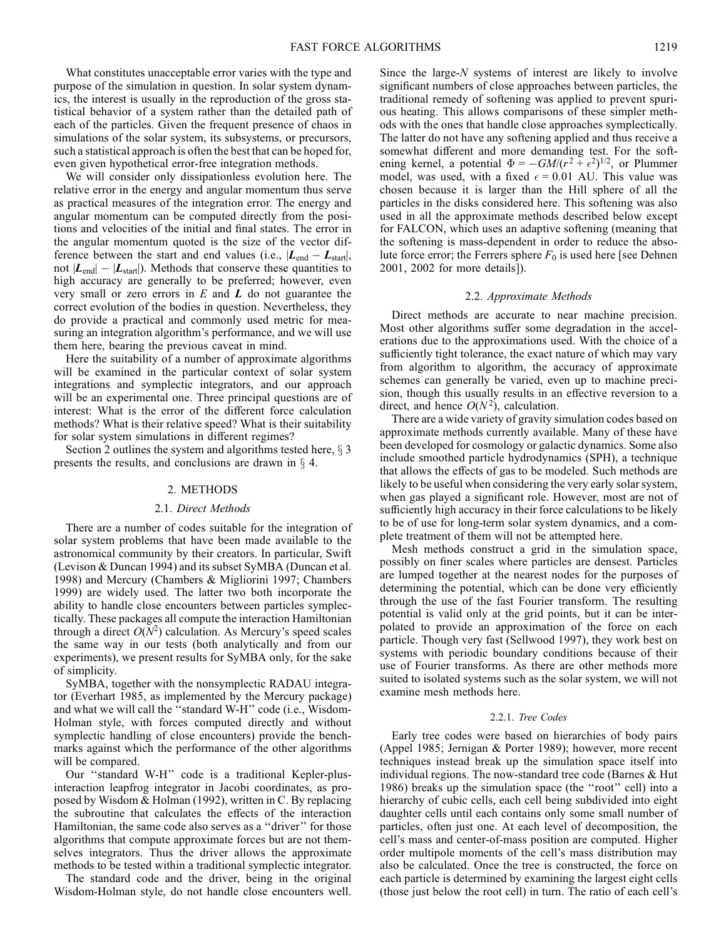What constitutes unacceptable error varies with the type and purpose of the simulation in question. In solar system dynamics, the interest is usually in the reproduction of the gross statistical behavior of a system rather than the detailed path of each of the particles. Given the frequent presence of chaos in simulations of the solar system, its subsystems, or precursors, such a statistical approach is often the best that can be hoped for, even given hypothetical error-free integration methods.

We will consider only dissipationless evolution here. The relative error in the energy and angular momentum thus serve as practical measures of the integration error. The energy and angular momentum can be computed directly from the positions and velocities of the initial and final states. The error in the angular momentum quoted is the size of the vector difference between the start and end values (i.e.,  $|L_{end} - L_{start}|$ , not  $|L_{\text{end}}| - |L_{\text{start}}|$ ). Methods that conserve these quantities to high accuracy are generally to be preferred; however, even very small or zero errors in  $E$  and  $L$  do not guarantee the correct evolution of the bodies in question. Nevertheless, they do provide a practical and commonly used metric for measuring an integration algorithm's performance, and we will use them here, bearing the previous caveat in mind.

Here the suitability of a number of approximate algorithms will be examined in the particular context of solar system integrations and symplectic integrators, and our approach will be an experimental one. Three principal questions are of interest: What is the error of the different force calculation methods? What is their relative speed? What is their suitability for solar system simulations in different regimes?

Section 2 outlines the system and algorithms tested here,  $\S$  3 presents the results, and conclusions are drawn in  $\S$  4.

#### 2. METHODS

#### 2.1. Direct Methods

There are a number of codes suitable for the integration of solar system problems that have been made available to the astronomical community by their creators. In particular, Swift (Levison & Duncan 1994) and its subset SyMBA (Duncan et al. 1998) and Mercury (Chambers & Migliorini 1997; Chambers 1999) are widely used. The latter two both incorporate the ability to handle close encounters between particles symplectically. These packages all compute the interaction Hamiltonian through a direct  $O(N^2)$  calculation. As Mercury's speed scales the same way in our tests (both analytically and from our experiments), we present results for SyMBA only, for the sake of simplicity.

SyMBA, together with the nonsymplectic RADAU integrator (Everhart 1985, as implemented by the Mercury package) and what we will call the ''standard W-H'' code (i.e., Wisdom-Holman style, with forces computed directly and without symplectic handling of close encounters) provide the benchmarks against which the performance of the other algorithms will be compared.

Our ''standard W-H'' code is a traditional Kepler-plusinteraction leapfrog integrator in Jacobi coordinates, as proposed by Wisdom & Holman (1992), written in C. By replacing the subroutine that calculates the effects of the interaction Hamiltonian, the same code also serves as a ''driver'' for those algorithms that compute approximate forces but are not themselves integrators. Thus the driver allows the approximate methods to be tested within a traditional symplectic integrator.

The standard code and the driver, being in the original Wisdom-Holman style, do not handle close encounters well. Since the large-N systems of interest are likely to involve significant numbers of close approaches between particles, the traditional remedy of softening was applied to prevent spurious heating. This allows comparisons of these simpler methods with the ones that handle close approaches symplectically. The latter do not have any softening applied and thus receive a somewhat different and more demanding test. For the softening kernel, a potential  $\Phi = -GM/(r^2 + \epsilon^2)^{1/2}$ , or Plummer model, was used, with a fixed  $\epsilon = 0.01$  AU. This value was chosen because it is larger than the Hill sphere of all the particles in the disks considered here. This softening was also used in all the approximate methods described below except for FALCON, which uses an adaptive softening (meaning that the softening is mass-dependent in order to reduce the absolute force error; the Ferrers sphere  $F_0$  is used here [see Dehnen 2001, 2002 for more details]).

#### 2.2. Approximate Methods

Direct methods are accurate to near machine precision. Most other algorithms suffer some degradation in the accelerations due to the approximations used. With the choice of a sufficiently tight tolerance, the exact nature of which may vary from algorithm to algorithm, the accuracy of approximate schemes can generally be varied, even up to machine precision, though this usually results in an effective reversion to a direct, and hence  $O(N^2)$ , calculation.

There are a wide variety of gravity simulation codes based on approximate methods currently available. Many of these have been developed for cosmology or galactic dynamics. Some also include smoothed particle hydrodynamics (SPH), a technique that allows the effects of gas to be modeled. Such methods are likely to be useful when considering the very early solar system, when gas played a significant role. However, most are not of sufficiently high accuracy in their force calculations to be likely to be of use for long-term solar system dynamics, and a complete treatment of them will not be attempted here.

Mesh methods construct a grid in the simulation space, possibly on finer scales where particles are densest. Particles are lumped together at the nearest nodes for the purposes of determining the potential, which can be done very efficiently through the use of the fast Fourier transform. The resulting potential is valid only at the grid points, but it can be interpolated to provide an approximation of the force on each particle. Though very fast (Sellwood 1997), they work best on systems with periodic boundary conditions because of their use of Fourier transforms. As there are other methods more suited to isolated systems such as the solar system, we will not examine mesh methods here.

## 2.2.1. Tree Codes

Early tree codes were based on hierarchies of body pairs (Appel 1985; Jernigan & Porter 1989); however, more recent techniques instead break up the simulation space itself into individual regions. The now-standard tree code (Barnes & Hut 1986) breaks up the simulation space (the ''root'' cell) into a hierarchy of cubic cells, each cell being subdivided into eight daughter cells until each contains only some small number of particles, often just one. At each level of decomposition, the cell's mass and center-of-mass position are computed. Higher order multipole moments of the cell's mass distribution may also be calculated. Once the tree is constructed, the force on each particle is determined by examining the largest eight cells (those just below the root cell) in turn. The ratio of each cell's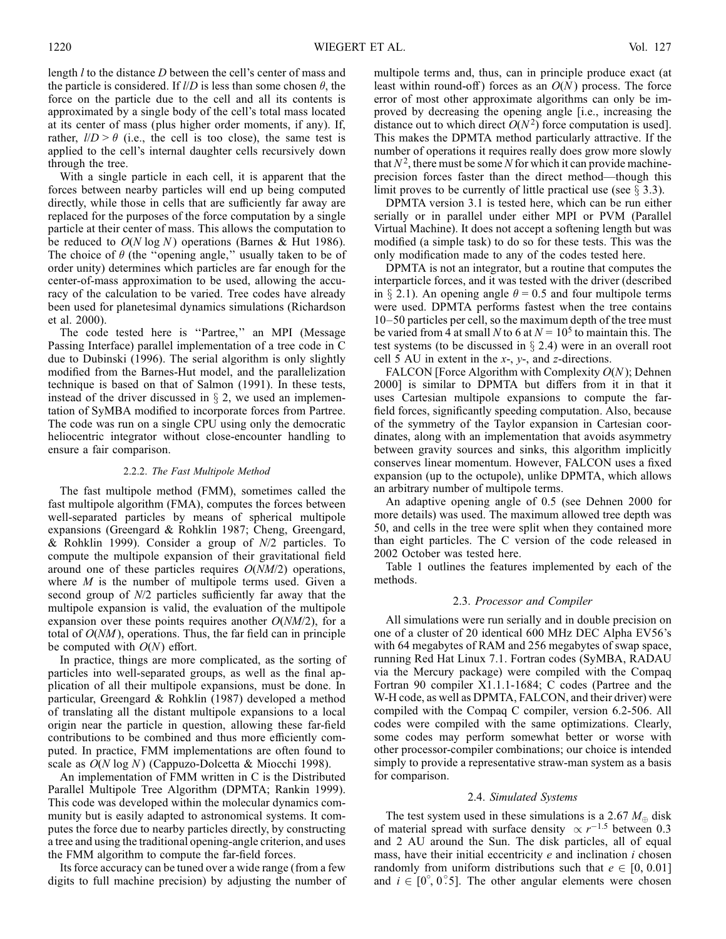length *l* to the distance *D* between the cell's center of mass and the particle is considered. If  $\mathit{l/D}$  is less than some chosen  $\theta$ , the force on the particle due to the cell and all its contents is approximated by a single body of the cell's total mass located at its center of mass (plus higher order moments, if any). If, rather,  $l/D > \theta$  (i.e., the cell is too close), the same test is applied to the cell's internal daughter cells recursively down through the tree.

With a single particle in each cell, it is apparent that the forces between nearby particles will end up being computed directly, while those in cells that are sufficiently far away are replaced for the purposes of the force computation by a single particle at their center of mass. This allows the computation to be reduced to  $O(N \log N)$  operations (Barnes & Hut 1986). The choice of  $\theta$  (the "opening angle," usually taken to be of order unity) determines which particles are far enough for the center-of-mass approximation to be used, allowing the accuracy of the calculation to be varied. Tree codes have already been used for planetesimal dynamics simulations (Richardson et al. 2000).

The code tested here is "Partree," an MPI (Message Passing Interface) parallel implementation of a tree code in C due to Dubinski (1996). The serial algorithm is only slightly modified from the Barnes-Hut model, and the parallelization technique is based on that of Salmon (1991). In these tests, instead of the driver discussed in  $\S$  2, we used an implementation of SyMBA modified to incorporate forces from Partree. The code was run on a single CPU using only the democratic heliocentric integrator without close-encounter handling to ensure a fair comparison.

### 2.2.2. The Fast Multipole Method

The fast multipole method (FMM), sometimes called the fast multipole algorithm (FMA), computes the forces between well-separated particles by means of spherical multipole expansions (Greengard & Rohklin 1987; Cheng, Greengard, & Rohklin 1999). Consider a group of  $N/2$  particles. To compute the multipole expansion of their gravitational field around one of these particles requires  $O(NM/2)$  operations, where  $M$  is the number of multipole terms used. Given a second group of N/2 particles sufficiently far away that the multipole expansion is valid, the evaluation of the multipole expansion over these points requires another  $O(NM/2)$ , for a total of  $O(NM)$ , operations. Thus, the far field can in principle be computed with  $O(N)$  effort.

In practice, things are more complicated, as the sorting of particles into well-separated groups, as well as the final application of all their multipole expansions, must be done. In particular, Greengard & Rohklin (1987) developed a method of translating all the distant multipole expansions to a local origin near the particle in question, allowing these far-field contributions to be combined and thus more efficiently computed. In practice, FMM implementations are often found to scale as  $O(N \log N)$  (Cappuzo-Dolcetta & Miocchi 1998).

An implementation of FMM written in C is the Distributed Parallel Multipole Tree Algorithm (DPMTA; Rankin 1999). This code was developed within the molecular dynamics community but is easily adapted to astronomical systems. It computes the force due to nearby particles directly, by constructing a tree and using the traditional opening-angle criterion, and uses the FMM algorithm to compute the far-field forces.

Its force accuracy can be tuned over a wide range (from a few digits to full machine precision) by adjusting the number of multipole terms and, thus, can in principle produce exact (at least within round-off) forces as an  $O(N)$  process. The force error of most other approximate algorithms can only be improved by decreasing the opening angle [i.e., increasing the distance out to which direct  $O(N^2)$  force computation is used]. This makes the DPMTA method particularly attractive. If the number of operations it requires really does grow more slowly that  $N^2$ , there must be some N for which it can provide machineprecision forces faster than the direct method—though this limit proves to be currently of little practical use (see  $\S$  3.3).

DPMTA version 3.1 is tested here, which can be run either serially or in parallel under either MPI or PVM (Parallel Virtual Machine). It does not accept a softening length but was modified (a simple task) to do so for these tests. This was the only modification made to any of the codes tested here.

DPMTA is not an integrator, but a routine that computes the interparticle forces, and it was tested with the driver (described in  $\S$  2.1). An opening angle  $\theta = 0.5$  and four multipole terms were used. DPMTA performs fastest when the tree contains 10–50 particles per cell, so the maximum depth of the tree must be varied from 4 at small N to 6 at  $N = 10^5$  to maintain this. The test systems (to be discussed in  $\S$  2.4) were in an overall root cell 5 AU in extent in the  $x$ -,  $y$ -, and  $z$ -directions.

FALCON [Force Algorithm with Complexity  $O(N)$ ; Dehnen 2000] is similar to DPMTA but differs from it in that it uses Cartesian multipole expansions to compute the farfield forces, significantly speeding computation. Also, because of the symmetry of the Taylor expansion in Cartesian coordinates, along with an implementation that avoids asymmetry between gravity sources and sinks, this algorithm implicitly conserves linear momentum. However, FALCON uses a fixed expansion (up to the octupole), unlike DPMTA, which allows an arbitrary number of multipole terms.

An adaptive opening angle of 0.5 (see Dehnen 2000 for more details) was used. The maximum allowed tree depth was 50, and cells in the tree were split when they contained more than eight particles. The C version of the code released in 2002 October was tested here.

Table 1 outlines the features implemented by each of the methods.

### 2.3. Processor and Compiler

All simulations were run serially and in double precision on one of a cluster of 20 identical 600 MHz DEC Alpha EV56's with 64 megabytes of RAM and 256 megabytes of swap space, running Red Hat Linux 7.1. Fortran codes (SyMBA, RADAU via the Mercury package) were compiled with the Compaq Fortran 90 compiler X1.1.1-1684; C codes (Partree and the W-H code, as well as DPMTA, FALCON, and their driver) were compiled with the Compaq C compiler, version 6.2-506. All codes were compiled with the same optimizations. Clearly, some codes may perform somewhat better or worse with other processor-compiler combinations; our choice is intended simply to provide a representative straw-man system as a basis for comparison.

#### 2.4. Simulated Systems

The test system used in these simulations is a 2.67  $M_{\oplus}$  disk of material spread with surface density  $\propto r^{-1.5}$  between 0.3 and 2 AU around the Sun. The disk particles, all of equal mass, have their initial eccentricity  $e$  and inclination  $i$  chosen randomly from uniform distributions such that  $e \in [0, 0.01]$ and  $i \in [0^{\circ}, 0^{\circ}5]$ . The other angular elements were chosen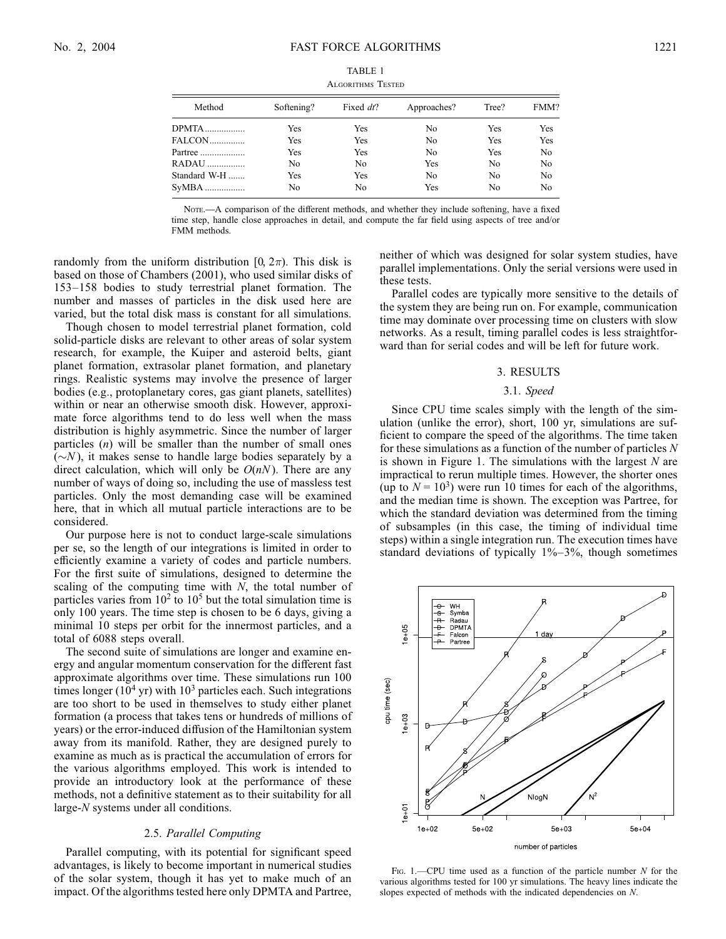|  | Algorithms Tested |  |
|--|-------------------|--|
|--|-------------------|--|

| Method       | Softening? | Fixed dt? | Approaches? | Tree? | FMM?           |
|--------------|------------|-----------|-------------|-------|----------------|
| <b>DPMTA</b> | Yes        | Yes       | No          | Yes   | Yes            |
| FALCON       | Yes        | Yes       | No          | Yes   | Yes            |
| Partree      | Yes        | Yes       | No          | Yes   | N <sub>0</sub> |
| RADAU        | No         | No        | Yes         | No    | No             |
| Standard W-H | Yes        | Yes       | No          | No    | N <sub>0</sub> |
|              | No         | No        | Yes         | No    | No             |

NOTE.- A comparison of the different methods, and whether they include softening, have a fixed time step, handle close approaches in detail, and compute the far field using aspects of tree and/or FMM methods.

randomly from the uniform distribution [0,  $2\pi$ ). This disk is based on those of Chambers (2001), who used similar disks of 153–158 bodies to study terrestrial planet formation. The number and masses of particles in the disk used here are varied, but the total disk mass is constant for all simulations.

Though chosen to model terrestrial planet formation, cold solid-particle disks are relevant to other areas of solar system research, for example, the Kuiper and asteroid belts, giant planet formation, extrasolar planet formation, and planetary rings. Realistic systems may involve the presence of larger bodies (e.g., protoplanetary cores, gas giant planets, satellites) within or near an otherwise smooth disk. However, approximate force algorithms tend to do less well when the mass distribution is highly asymmetric. Since the number of larger particles (n) will be smaller than the number of small ones  $(\sim N)$ , it makes sense to handle large bodies separately by a direct calculation, which will only be  $O(nN)$ . There are any number of ways of doing so, including the use of massless test particles. Only the most demanding case will be examined here, that in which all mutual particle interactions are to be considered.

Our purpose here is not to conduct large-scale simulations per se, so the length of our integrations is limited in order to efficiently examine a variety of codes and particle numbers. For the first suite of simulations, designed to determine the scaling of the computing time with  $N$ , the total number of particles varies from  $10^2$  to  $10^5$  but the total simulation time is only 100 years. The time step is chosen to be 6 days, giving a minimal 10 steps per orbit for the innermost particles, and a total of 6088 steps overall.

The second suite of simulations are longer and examine energy and angular momentum conservation for the different fast approximate algorithms over time. These simulations run 100 times longer  $(10^4 \text{ yr})$  with  $10^3$  particles each. Such integrations are too short to be used in themselves to study either planet formation (a process that takes tens or hundreds of millions of years) or the error-induced diffusion of the Hamiltonian system away from its manifold. Rather, they are designed purely to examine as much as is practical the accumulation of errors for the various algorithms employed. This work is intended to provide an introductory look at the performance of these methods, not a definitive statement as to their suitability for all large-N systems under all conditions.

# 2.5. Parallel Computing

Parallel computing, with its potential for significant speed advantages, is likely to become important in numerical studies of the solar system, though it has yet to make much of an impact. Of the algorithms tested here only DPMTA and Partree, neither of which was designed for solar system studies, have parallel implementations. Only the serial versions were used in these tests.

Parallel codes are typically more sensitive to the details of the system they are being run on. For example, communication time may dominate over processing time on clusters with slow networks. As a result, timing parallel codes is less straightforward than for serial codes and will be left for future work.

# 3. RESULTS

# 3.1. Speed

Since CPU time scales simply with the length of the simulation (unlike the error), short, 100 yr, simulations are sufficient to compare the speed of the algorithms. The time taken for these simulations as a function of the number of particles  $N$ is shown in Figure 1. The simulations with the largest  $N$  are impractical to rerun multiple times. However, the shorter ones (up to  $N = 10<sup>3</sup>$ ) were run 10 times for each of the algorithms, and the median time is shown. The exception was Partree, for which the standard deviation was determined from the timing of subsamples (in this case, the timing of individual time steps) within a single integration run. The execution times have standard deviations of typically 1%–3%, though sometimes



Fig. 1.—CPU time used as a function of the particle number  $N$  for the various algorithms tested for 100 yr simulations. The heavy lines indicate the slopes expected of methods with the indicated dependencies on N.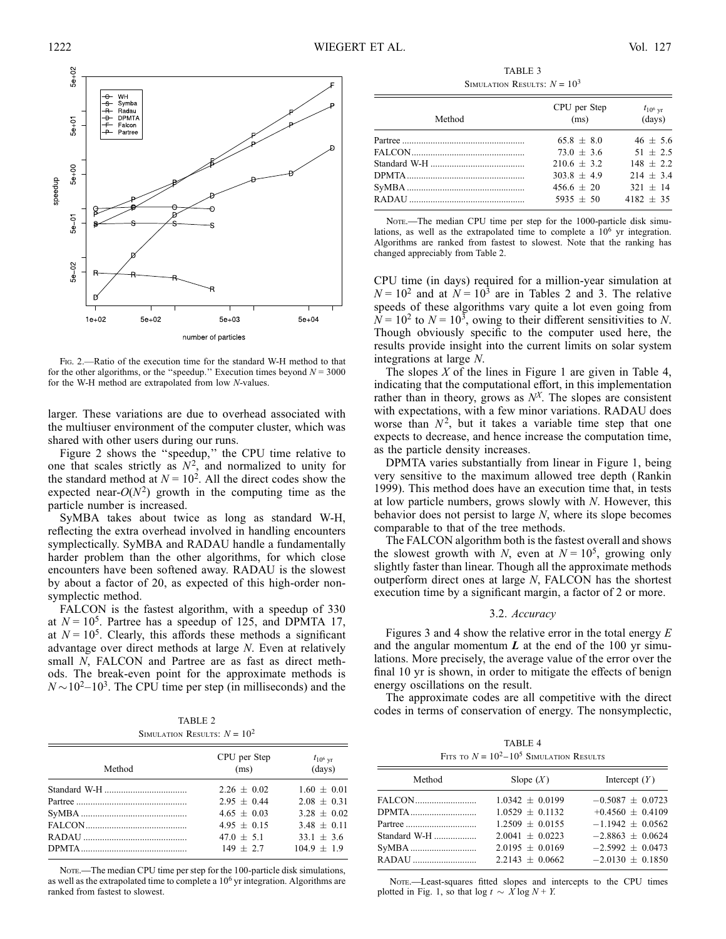

Fig. 2.—Ratio of the execution time for the standard W-H method to that for the other algorithms, or the "speedup." Execution times beyond  $N = 3000$ for the W-H method are extrapolated from low N-values.

larger. These variations are due to overhead associated with the multiuser environment of the computer cluster, which was shared with other users during our runs.

Figure 2 shows the ''speedup,'' the CPU time relative to one that scales strictly as  $N^2$ , and normalized to unity for the standard method at  $N = 10^2$ . All the direct codes show the expected near- $O(N^2)$  growth in the computing time as the particle number is increased.

SyMBA takes about twice as long as standard W-H, reflecting the extra overhead involved in handling encounters symplectically. SyMBA and RADAU handle a fundamentally harder problem than the other algorithms, for which close encounters have been softened away. RADAU is the slowest by about a factor of 20, as expected of this high-order nonsymplectic method.

FALCON is the fastest algorithm, with a speedup of 330 at  $N = 10^5$ . Partree has a speedup of 125, and DPMTA 17, at  $N = 10^5$ . Clearly, this affords these methods a significant advantage over direct methods at large N. Even at relatively small N, FALCON and Partree are as fast as direct methods. The break-even point for the approximate methods is  $N \sim 10^{2} - 10^{3}$ . The CPU time per step (in milliseconds) and the

TABLE 2 SIMULATION RESULTS:  $N = 10^2$ 

| Method | CPU per Step<br>(ms) | $t_{10^6 \text{ yr}}$<br>(days) |
|--------|----------------------|---------------------------------|
|        | $2.26 + 0.02$        | $1.60 + 0.01$                   |
|        | $2.95 + 0.44$        | $2.08 + 0.31$                   |
|        | $4.65 + 0.03$        | $3.28 + 0.02$                   |
|        | $4.95 + 0.15$        | $3.48 + 0.11$                   |
|        | $47.0 + 5.1$         | $33.1 + 3.6$                    |
|        | $149 + 2.7$          | $104.9 + 1.9$                   |

NOTE.—The median CPU time per step for the 100-particle disk simulations, as well as the extrapolated time to complete a  $10<sup>6</sup>$  yr integration. Algorithms are ranked from fastest to slowest.

TABLE 3 SIMULATION RESULTS:  $N = 10^3$ 

| Method | CPU per Step<br>(ms) | $t_{10^6 \text{ yr}}$<br>(days) |
|--------|----------------------|---------------------------------|
|        | $65.8 + 8.0$         | $46 + 5.6$                      |
|        | $73.0 + 3.6$         | $51 + 2.5$                      |
|        | $210.6 + 3.2$        | $148 + 2.2$                     |
|        | $303.8 + 4.9$        | $214 + 3.4$                     |
|        | $456.6 \pm 20$       | $321 + 14$                      |
|        | $5935 + 50$          | $4182 + 35$                     |

NOTE.-The median CPU time per step for the 1000-particle disk simulations, as well as the extrapolated time to complete a  $10<sup>6</sup>$  yr integration. Algorithms are ranked from fastest to slowest. Note that the ranking has changed appreciably from Table 2.

CPU time (in days) required for a million-year simulation at  $N = 10^2$  and at  $N = 10^3$  are in Tables 2 and 3. The relative speeds of these algorithms vary quite a lot even going from  $\overline{N}$  = 10<sup>2</sup> to  $N$  = 10<sup>3</sup>, owing to their different sensitivities to N. Though obviously specific to the computer used here, the results provide insight into the current limits on solar system integrations at large N.

The slopes  $X$  of the lines in Figure 1 are given in Table 4, indicating that the computational effort, in this implementation rather than in theory, grows as  $N<sup>X</sup>$ . The slopes are consistent with expectations, with a few minor variations. RADAU does worse than  $N^2$ , but it takes a variable time step that one expects to decrease, and hence increase the computation time, as the particle density increases.

DPMTA varies substantially from linear in Figure 1, being very sensitive to the maximum allowed tree depth (Rankin 1999). This method does have an execution time that, in tests at low particle numbers, grows slowly with  $N$ . However, this behavior does not persist to large N, where its slope becomes comparable to that of the tree methods.

The FALCON algorithm both is the fastest overall and shows the slowest growth with N, even at  $N = 10^5$ , growing only slightly faster than linear. Though all the approximate methods outperform direct ones at large N, FALCON has the shortest execution time by a significant margin, a factor of 2 or more.

### 3.2. Accuracy

Figures 3 and 4 show the relative error in the total energy  $E$ and the angular momentum  $L$  at the end of the 100 yr simulations. More precisely, the average value of the error over the final 10 yr is shown, in order to mitigate the effects of benign energy oscillations on the result.

The approximate codes are all competitive with the direct codes in terms of conservation of energy. The nonsymplectic,

|  | TABLE 4                                      |  |
|--|----------------------------------------------|--|
|  | Fits to $N = 10^2 - 10^5$ Simulation Results |  |

| Method                           | Slope $(X)$                                                   | Intercept $(Y)$                                                      |
|----------------------------------|---------------------------------------------------------------|----------------------------------------------------------------------|
| FALCON<br>DPMTA                  | $1.0342 + 0.0199$<br>$1.0529 + 0.1132$                        | $-0.5087 + 0.0723$<br>$+0.4560 \pm 0.4109$                           |
| Partree<br>Standard W-H<br>SyMBA | $1.2509 + 0.0155$<br>$2.0041 + 0.0223$<br>$2.0195 \pm 0.0169$ | $-1.1942 \pm 0.0562$<br>$-2.8863 \pm 0.0624$<br>$-2.5992 \pm 0.0473$ |
| RADAU                            | $2.2143 + 0.0662$                                             | $-2.0130 \pm 0.1850$                                                 |

NOTE.-Least-squares fitted slopes and intercepts to the CPU times plotted in Fig. 1, so that  $\log t \sim \overline{X} \log N + Y$ .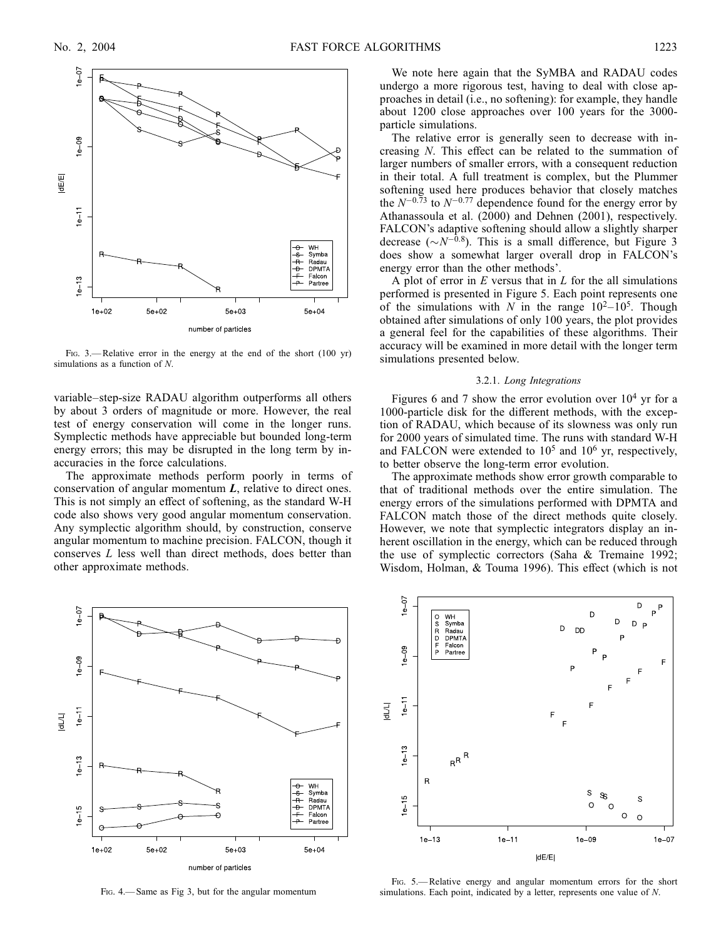

FIG. 3.—Relative error in the energy at the end of the short (100 yr) simulations as a function of N.

variable–step-size RADAU algorithm outperforms all others by about 3 orders of magnitude or more. However, the real test of energy conservation will come in the longer runs. Symplectic methods have appreciable but bounded long-term energy errors; this may be disrupted in the long term by inaccuracies in the force calculations.

The approximate methods perform poorly in terms of conservation of angular momentum  $L$ , relative to direct ones. This is not simply an effect of softening, as the standard W-H code also shows very good angular momentum conservation. Any symplectic algorithm should, by construction, conserve angular momentum to machine precision. FALCON, though it conserves L less well than direct methods, does better than other approximate methods.



Fig. 4.— Same as Fig 3, but for the angular momentum

We note here again that the SyMBA and RADAU codes undergo a more rigorous test, having to deal with close approaches in detail (i.e., no softening): for example, they handle about 1200 close approaches over 100 years for the 3000 particle simulations.

The relative error is generally seen to decrease with increasing N. This effect can be related to the summation of larger numbers of smaller errors, with a consequent reduction in their total. A full treatment is complex, but the Plummer softening used here produces behavior that closely matches the  $N^{-0.73}$  to  $N^{-0.77}$  dependence found for the energy error by Athanassoula et al. (2000) and Dehnen (2001), respectively. FALCON's adaptive softening should allow a slightly sharper decrease ( $\sim N^{-0.8}$ ). This is a small difference, but Figure 3 does show a somewhat larger overall drop in FALCON's energy error than the other methods'.

A plot of error in  $E$  versus that in  $L$  for the all simulations performed is presented in Figure 5. Each point represents one of the simulations with N in the range  $10^2-10^5$ . Though obtained after simulations of only 100 years, the plot provides a general feel for the capabilities of these algorithms. Their accuracy will be examined in more detail with the longer term simulations presented below.

### 3.2.1. Long Integrations

Figures 6 and 7 show the error evolution over  $10^4$  yr for a 1000-particle disk for the different methods, with the exception of RADAU, which because of its slowness was only run for 2000 years of simulated time. The runs with standard W-H and FALCON were extended to  $10^5$  and  $10^6$  yr, respectively, to better observe the long-term error evolution.

The approximate methods show error growth comparable to that of traditional methods over the entire simulation. The energy errors of the simulations performed with DPMTA and FALCON match those of the direct methods quite closely. However, we note that symplectic integrators display an inherent oscillation in the energy, which can be reduced through the use of symplectic correctors (Saha & Tremaine 1992; Wisdom, Holman, & Touma 1996). This effect (which is not



Fig. 5.— Relative energy and angular momentum errors for the short simulations. Each point, indicated by a letter, represents one value of N.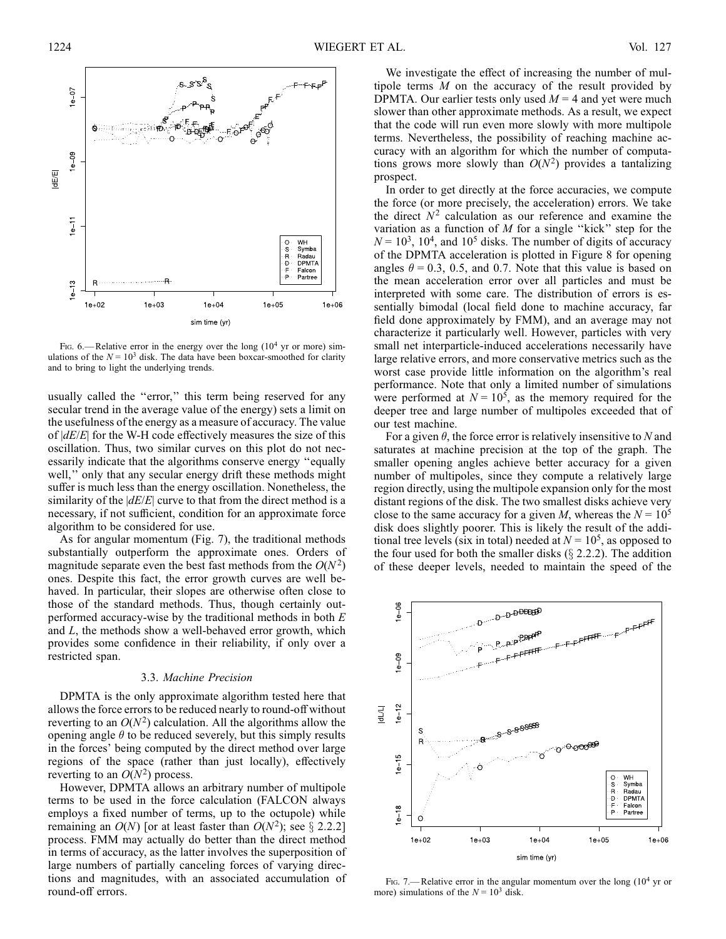

Fig. 6.— Relative error in the energy over the long  $(10<sup>4</sup>$  yr or more) simulations of the  $N = 10<sup>3</sup>$  disk. The data have been boxcar-smoothed for clarity and to bring to light the underlying trends.

usually called the "error," this term being reserved for any secular trend in the average value of the energy) sets a limit on the usefulness of the energy as a measure of accuracy. The value of  $|dE/E|$  for the W-H code effectively measures the size of this oscillation. Thus, two similar curves on this plot do not necessarily indicate that the algorithms conserve energy ''equally well,'' only that any secular energy drift these methods might suffer is much less than the energy oscillation. Nonetheless, the similarity of the  $|dE/E|$  curve to that from the direct method is a necessary, if not sufficient, condition for an approximate force algorithm to be considered for use.

As for angular momentum (Fig. 7), the traditional methods substantially outperform the approximate ones. Orders of magnitude separate even the best fast methods from the  $O(N^2)$ ones. Despite this fact, the error growth curves are well behaved. In particular, their slopes are otherwise often close to those of the standard methods. Thus, though certainly outperformed accuracy-wise by the traditional methods in both  $E$ and L, the methods show a well-behaved error growth, which provides some confidence in their reliability, if only over a restricted span.

### 3.3. Machine Precision

DPMTA is the only approximate algorithm tested here that allows the force errors to be reduced nearly to round-off without reverting to an  $O(N^2)$  calculation. All the algorithms allow the opening angle  $\theta$  to be reduced severely, but this simply results in the forces' being computed by the direct method over large regions of the space (rather than just locally), effectively reverting to an  $O(N^2)$  process.

However, DPMTA allows an arbitrary number of multipole terms to be used in the force calculation (FALCON always employs a fixed number of terms, up to the octupole) while remaining an  $O(N)$  [or at least faster than  $O(N^2)$ ; see § 2.2.2] process. FMM may actually do better than the direct method in terms of accuracy, as the latter involves the superposition of large numbers of partially canceling forces of varying directions and magnitudes, with an associated accumulation of round-off errors.

We investigate the effect of increasing the number of multipole terms M on the accuracy of the result provided by DPMTA. Our earlier tests only used  $M = 4$  and yet were much slower than other approximate methods. As a result, we expect that the code will run even more slowly with more multipole terms. Nevertheless, the possibility of reaching machine accuracy with an algorithm for which the number of computations grows more slowly than  $O(N^2)$  provides a tantalizing prospect.

In order to get directly at the force accuracies, we compute the force (or more precisely, the acceleration) errors. We take the direct  $N^2$  calculation as our reference and examine the variation as a function of  $M$  for a single "kick" step for the  $N = 10<sup>3</sup>$ , 10<sup>4</sup>, and 10<sup>5</sup> disks. The number of digits of accuracy of the DPMTA acceleration is plotted in Figure 8 for opening angles  $\theta = 0.3$ , 0.5, and 0.7. Note that this value is based on the mean acceleration error over all particles and must be interpreted with some care. The distribution of errors is essentially bimodal (local field done to machine accuracy, far field done approximately by FMM), and an average may not characterize it particularly well. However, particles with very small net interparticle-induced accelerations necessarily have large relative errors, and more conservative metrics such as the worst case provide little information on the algorithm's real performance. Note that only a limited number of simulations were performed at  $N = 10^5$ , as the memory required for the deeper tree and large number of multipoles exceeded that of our test machine.

For a given  $\theta$ , the force error is relatively insensitive to N and saturates at machine precision at the top of the graph. The smaller opening angles achieve better accuracy for a given number of multipoles, since they compute a relatively large region directly, using the multipole expansion only for the most distant regions of the disk. The two smallest disks achieve very close to the same accuracy for a given M, whereas the  $N = 10^5$ disk does slightly poorer. This is likely the result of the additional tree levels (six in total) needed at  $N = 10<sup>5</sup>$ , as opposed to the four used for both the smaller disks  $(\S$  2.2.2). The addition of these deeper levels, needed to maintain the speed of the



Fig. 7.— Relative error in the angular momentum over the long  $(10<sup>4</sup>$  yr or more) simulations of the  $N = 10^3$  disk.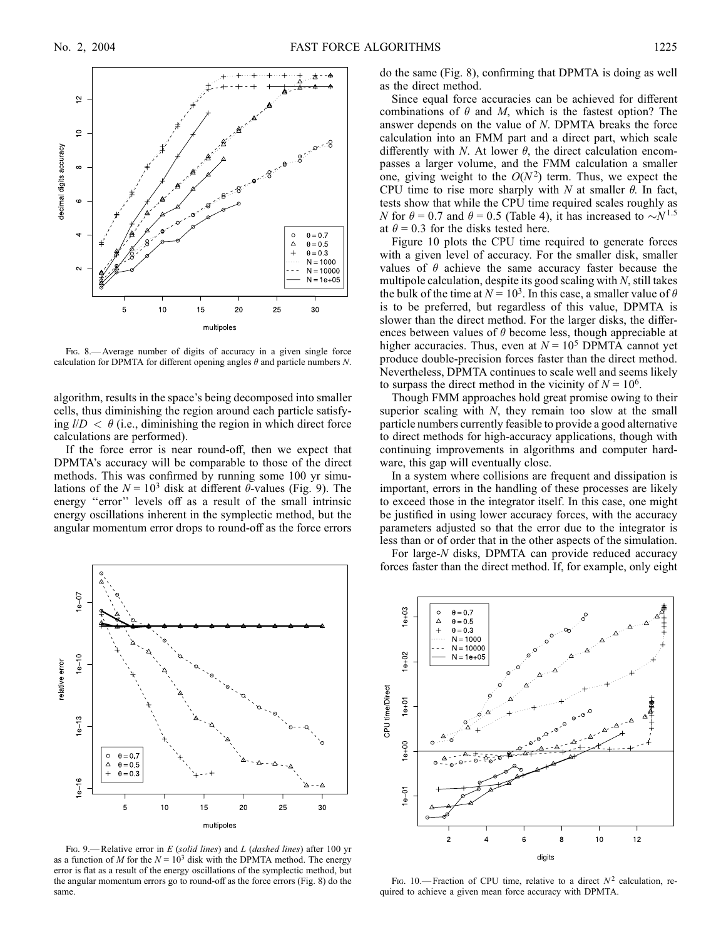

FIG. 8.— Average number of digits of accuracy in a given single force calculation for DPMTA for different opening angles  $\theta$  and particle numbers N.

algorithm, results in the space's being decomposed into smaller cells, thus diminishing the region around each particle satisfying  $l/D < \theta$  (i.e., diminishing the region in which direct force calculations are performed).

If the force error is near round-off, then we expect that DPMTA's accuracy will be comparable to those of the direct methods. This was confirmed by running some 100 yr simulations of the  $N = 10^3$  disk at different  $\theta$ -values (Fig. 9). The energy ''error'' levels off as a result of the small intrinsic energy oscillations inherent in the symplectic method, but the angular momentum error drops to round-off as the force errors



FIG. 9.— Relative error in  $E$  (solid lines) and  $L$  (dashed lines) after 100 yr as a function of M for the  $N = 10<sup>3</sup>$  disk with the DPMTA method. The energy error is flat as a result of the energy oscillations of the symplectic method, but the angular momentum errors go to round-off as the force errors (Fig. 8) do the same.

do the same (Fig. 8), confirming that DPMTA is doing as well as the direct method.

Since equal force accuracies can be achieved for different combinations of  $\theta$  and M, which is the fastest option? The answer depends on the value of N. DPMTA breaks the force calculation into an FMM part and a direct part, which scale differently with N. At lower  $\theta$ , the direct calculation encompasses a larger volume, and the FMM calculation a smaller one, giving weight to the  $O(N^2)$  term. Thus, we expect the CPU time to rise more sharply with N at smaller  $\theta$ . In fact, tests show that while the CPU time required scales roughly as N for  $\theta = 0.7$  and  $\theta = 0.5$  (Table 4), it has increased to  $\sim N^{1.5}$ at  $\theta = 0.3$  for the disks tested here.

Figure 10 plots the CPU time required to generate forces with a given level of accuracy. For the smaller disk, smaller values of  $\theta$  achieve the same accuracy faster because the multipole calculation, despite its good scaling with  $N$ , still takes the bulk of the time at  $N = 10^3$ . In this case, a smaller value of  $\theta$ is to be preferred, but regardless of this value, DPMTA is slower than the direct method. For the larger disks, the differences between values of  $\theta$  become less, though appreciable at higher accuracies. Thus, even at  $N = 10^5$  DPMTA cannot yet produce double-precision forces faster than the direct method. Nevertheless, DPMTA continues to scale well and seems likely to surpass the direct method in the vicinity of  $N = 10^6$ .

Though FMM approaches hold great promise owing to their superior scaling with  $N$ , they remain too slow at the small particle numbers currently feasible to provide a good alternative to direct methods for high-accuracy applications, though with continuing improvements in algorithms and computer hardware, this gap will eventually close.

In a system where collisions are frequent and dissipation is important, errors in the handling of these processes are likely to exceed those in the integrator itself. In this case, one might be justified in using lower accuracy forces, with the accuracy parameters adjusted so that the error due to the integrator is less than or of order that in the other aspects of the simulation.

For large-N disks, DPMTA can provide reduced accuracy forces faster than the direct method. If, for example, only eight



FIG. 10.— Fraction of CPU time, relative to a direct  $N^2$  calculation, required to achieve a given mean force accuracy with DPMTA.